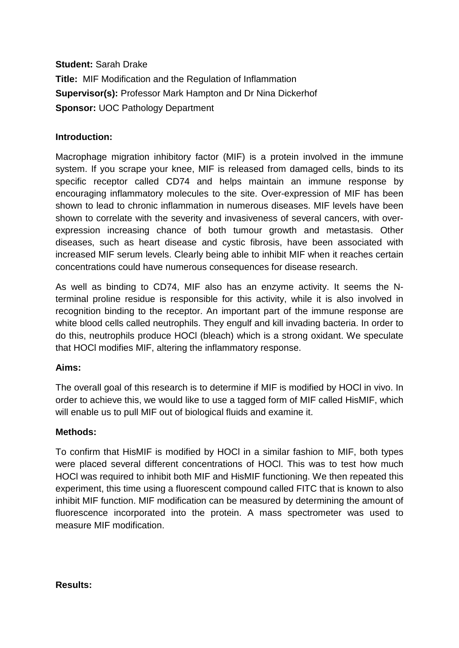**Student:** Sarah Drake **Title:** MIF Modification and the Regulation of Inflammation **Supervisor(s):** Professor Mark Hampton and Dr Nina Dickerhof **Sponsor:** UOC Pathology Department

## **Introduction:**

Macrophage migration inhibitory factor (MIF) is a protein involved in the immune system. If you scrape your knee, MIF is released from damaged cells, binds to its specific receptor called CD74 and helps maintain an immune response by encouraging inflammatory molecules to the site. Over-expression of MIF has been shown to lead to chronic inflammation in numerous diseases. MIF levels have been shown to correlate with the severity and invasiveness of several cancers, with overexpression increasing chance of both tumour growth and metastasis. Other diseases, such as heart disease and cystic fibrosis, have been associated with increased MIF serum levels. Clearly being able to inhibit MIF when it reaches certain concentrations could have numerous consequences for disease research.

As well as binding to CD74, MIF also has an enzyme activity. It seems the Nterminal proline residue is responsible for this activity, while it is also involved in recognition binding to the receptor. An important part of the immune response are white blood cells called neutrophils. They engulf and kill invading bacteria. In order to do this, neutrophils produce HOCl (bleach) which is a strong oxidant. We speculate that HOCl modifies MIF, altering the inflammatory response.

### **Aims:**

The overall goal of this research is to determine if MIF is modified by HOCl in vivo. In order to achieve this, we would like to use a tagged form of MIF called HisMIF, which will enable us to pull MIF out of biological fluids and examine it.

### **Methods:**

To confirm that HisMIF is modified by HOCl in a similar fashion to MIF, both types were placed several different concentrations of HOCl. This was to test how much HOCl was required to inhibit both MIF and HisMIF functioning. We then repeated this experiment, this time using a fluorescent compound called FITC that is known to also inhibit MIF function. MIF modification can be measured by determining the amount of fluorescence incorporated into the protein. A mass spectrometer was used to measure MIF modification.

#### **Results:**